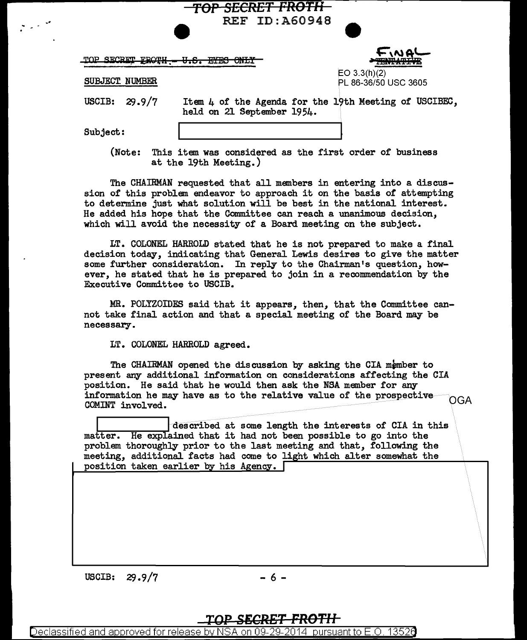|  | TOP SECRET FROTH - U.S. EYES ONLY |  |  |
|--|-----------------------------------|--|--|
|  |                                   |  |  |

FINA **TANTATI** EO 3.3(h)(2)

PL 86-36/50 USC 3605

SUBJECT NUMBER

USCIB:  $29.9/7$  Item 4 of the Agenda for the 19th Meeting of USCIBEC, held on 21 September 1954.

Subject:

-·

(Note: This item was considered as the first order of business at the 19th Meeting.)

**rOP** *SECRET FROTll* 

REF ID:A60948

The CHAIRMAN requested that all members in entering into a discussion of this problem endeavor to approach it on the basis of attempting to determine just what solution will be best in the national interest. He added his hope that the Committee can reach a unanimous decision, which will avoid the necessity of a Board meeting on the subject.

LT. COLONEL HARROLD stated that he is not prepared to make a final decision today, indicating that General Lewis desires to give the matter some further consideration. In reply to the Chairman's question, however, he stated that he is prepared to join in a recommendation by the Executive Committee to USCIB.

.MR. POLYZOIDES said that it appears, then, that the Committee cannot take final action and that a special meeting of the Board may be necessary.

LT. COLONEL HARROLD agreed.

The CHAIRMAN opened the discussion by asking the CIA member to present any additional information on considerations affecting the CIA position. He said that he would then ask the NSA member for any information he may have as to the relative value of the prospective  $OGA$ COMINT involved.

described at some length the interests of CIA in this matter. He explained that it had not been possible to go into the problem thoroughly prior to the last meeting and that, following the meeting, additional facts had come to light which alter somewhat the position taken earlier by his Agency.

USCIB:  $29.9/7$  - 6 -

Declassified and approved for release by NSA on 09-29-2014 pursuant to E.O. 13526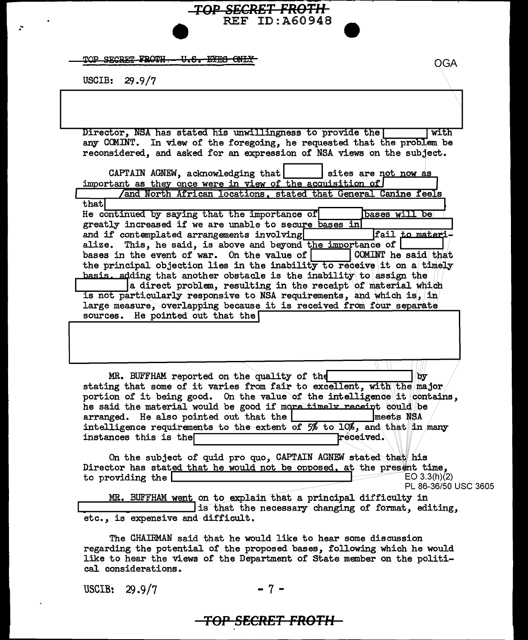TOP SECRET FROTH - U.S. EYES ONLY

USCIB:  $29.9/7$ 

Director, NSA has stated his unwillingness to provide the with any COMINT. In view of the foregoing, he requested that the problem be reconsidered, and asked for an expression of NSA views on the subject.

TOP SECRET FROTH

**REF ID: A60948** 

| CAPTAIN AGNEW, acknowledging that sites are not now as                  |
|-------------------------------------------------------------------------|
| important as they once were in view of the acquisition of               |
| And North African locations, stated that General Canine feels           |
| that                                                                    |
| He continued by saying that the importance of<br>bases will be          |
| greatly increased if we are unable to secure bases in                   |
| fail to materi-<br>and if contemplated arrangements involving           |
| alize. This, he said, is above and beyond the importance of             |
| bases in the event of war. On the value of $ $ COMINT he said that      |
| the principal objection lies in the inability to receive it on a timely |
| basis, adding that another obstacle is the inability to assign the      |
| a direct problem, resulting in the receipt of material which            |
| is not particularly responsive to NSA requirements, and which is, in    |
| large measure, overlapping because it is received from four separate    |
| sources. He pointed out that the                                        |
|                                                                         |
|                                                                         |

MR. BUFFHAM reported on the quality of the by stating that some of it varies from fair to excellent, with the major portion of it being good. On the value of the intelligence it contains, he said the material would be good if more timely receipt could be arranged. He also pointed out that the [ meets NSA intelligence requirements to the extent of 5% to 10%, and that in many instances this is the **received.** 

On the subject of quid pro quo, CAPTAIN AGNEW stated that his Director has stated that he would not be opposed, at the present time, EO  $3.3(h)(2)$ to providing the PL 86-36/50 USC 3605 MR. BUFFHAM went on to explain that a principal difficulty in

is that the necessary changing of format, editing, etc., is expensive and difficult.

The CHAIRMAN said that he would like to hear some discussion regarding the potential of the proposed bases, following which he would like to hear the views of the Department of State member on the political considerations.

USCIB: 29.9/7

## <del>TOP SECRET FROTH-</del>

**OGA**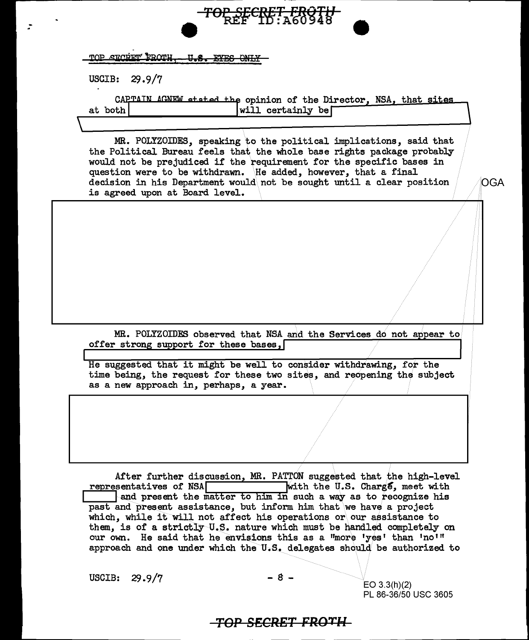| TOP SECRET FROTH II & EVEC ONLY |  |  |
|---------------------------------|--|--|
|                                 |  |  |
|                                 |  |  |

USCIB:  $29.9/7$ 

CAPTAIN AGNEW stated the opinion of the Director, NSA, that sites will certainly be at both

TOP SECRET FROTH<br>REF TD : 460948

MR. POLYZOIDES, speaking to the political implications, said that the Political Bureau feels that the whole base rights package probably would not be prejudiced if the requirement for the specific bases in question were to be withdrawn. He added, however, that a final decision in his Department would not be sought until a clear position is agreed upon at Board level.

MR. POLYZOIDES observed that NSA and the Services do not appear to offer strong support for these bases,

He suggested that it might be well to consider withdrawing, for the time being, the request for these two sites, and reopening the subject as a new approach in, perhaps, a year.

After further discussion, MR. PATTON suggested that the high-level with the U.S. Charge, meet with representatives of NSA and present the matter to him in such a way as to recognize his past and present assistance, but inform him that we have a project which, while it will not affect his operations or our assistance to them, is of a strictly U.S. nature which must be handled completely on our own. He said that he envisions this as a "more 'yes' than 'no'" approach and one under which the U.S. delegates should be authorized to

USCIB: 29.9/7

 $EO$  3.3(h)(2) PL 86-36/50 USC 3605 OGA

## <del>-TOP SECRET FROTH-</del>